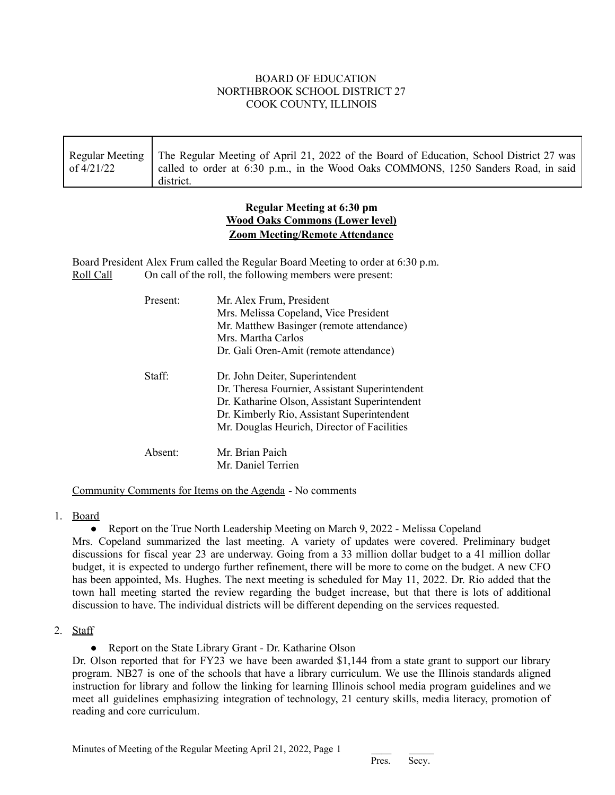## BOARD OF EDUCATION NORTHBROOK SCHOOL DISTRICT 27 COOK COUNTY, ILLINOIS

| of 4/21/22 | Regular Meeting   The Regular Meeting of April 21, 2022 of the Board of Education, School District 27 was<br>called to order at 6:30 p.m., in the Wood Oaks COMMONS, 1250 Sanders Road, in said<br>district. |
|------------|--------------------------------------------------------------------------------------------------------------------------------------------------------------------------------------------------------------|
|------------|--------------------------------------------------------------------------------------------------------------------------------------------------------------------------------------------------------------|

## **Regular Meeting at 6:30 pm Wood Oaks Commons (Lower level) Zoom Meeting/Remote Attendance**

Board President Alex Frum called the Regular Board Meeting to order at 6:30 p.m. Roll Call On call of the roll, the following members were present:

| Present:            | Mr. Alex Frum, President<br>Mrs. Melissa Copeland, Vice President<br>Mr. Matthew Basinger (remote attendance)<br>Mrs Martha Carlos<br>Dr. Gali Oren-Amit (remote attendance)                                                    |
|---------------------|---------------------------------------------------------------------------------------------------------------------------------------------------------------------------------------------------------------------------------|
| Staff <sup>.</sup>  | Dr. John Deiter, Superintendent<br>Dr. Theresa Fournier, Assistant Superintendent<br>Dr. Katharine Olson, Assistant Superintendent<br>Dr. Kimberly Rio, Assistant Superintendent<br>Mr. Douglas Heurich, Director of Facilities |
| Absent <sup>-</sup> | Mr. Brian Paich<br>Mr. Daniel Terrien                                                                                                                                                                                           |

## Community Comments for Items on the Agenda - No comments

## 1. Board

• Report on the True North Leadership Meeting on March 9, 2022 - Melissa Copeland

Mrs. Copeland summarized the last meeting. A variety of updates were covered. Preliminary budget discussions for fiscal year 23 are underway. Going from a 33 million dollar budget to a 41 million dollar budget, it is expected to undergo further refinement, there will be more to come on the budget. A new CFO has been appointed, Ms. Hughes. The next meeting is scheduled for May 11, 2022. Dr. Rio added that the town hall meeting started the review regarding the budget increase, but that there is lots of additional discussion to have. The individual districts will be different depending on the services requested.

## 2. Staff

• Report on the State Library Grant - Dr. Katharine Olson

Dr. Olson reported that for FY23 we have been awarded \$1,144 from a state grant to support our library program. NB27 is one of the schools that have a library curriculum. We use the Illinois standards aligned instruction for library and follow the linking for learning Illinois school media program guidelines and we meet all guidelines emphasizing integration of technology, 21 century skills, media literacy, promotion of reading and core curriculum.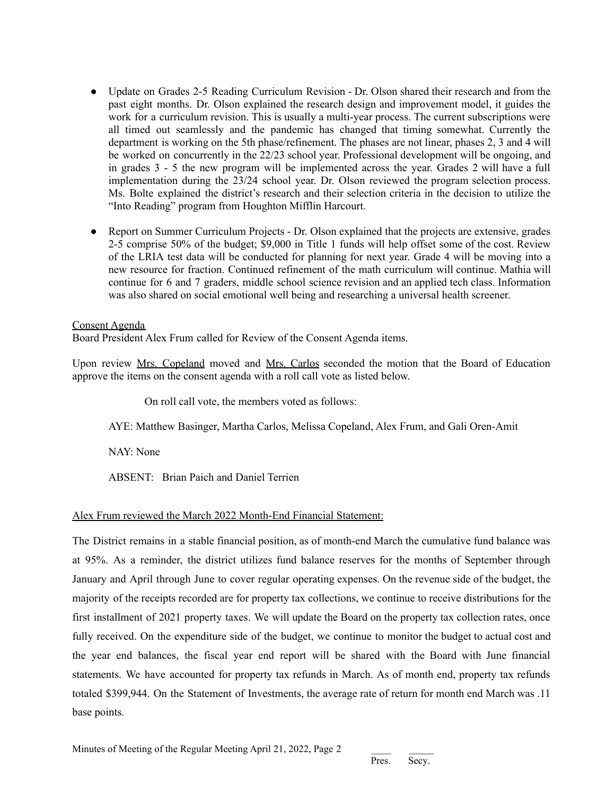- Update on Grades 2-5 Reading Curriculum Revision Dr. Olson shared their research and from the past eight months. Dr. Olson explained the research design and improvement model, it guides the work for a curriculum revision. This is usually a multi-year process. The current subscriptions were all timed out seamlessly and the pandemic has changed that timing somewhat. Currently the department is working on the 5th phase/refinement. The phases are not linear, phases 2, 3 and 4 will be worked on concurrently in the 22/23 school year. Professional development will be ongoing, and in grades 3 - 5 the new program will be implemented across the year. Grades 2 will have a full implementation during the 23/24 school year. Dr. Olson reviewed the program selection process. Ms. Bolte explained the district's research and their selection criteria in the decision to utilize the "Into Reading" program from Houghton Mifflin Harcourt.
- Report on Summer Curriculum Projects Dr. Olson explained that the projects are extensive, grades 2-5 comprise 50% of the budget; \$9,000 in Title 1 funds will help offset some of the cost. Review of the LRIA test data will be conducted for planning for next year. Grade 4 will be moving into a new resource for fraction. Continued refinement of the math curriculum will continue. Mathia will continue for 6 and 7 graders, middle school science revision and an applied tech class. Information was also shared on social emotional well being and researching a universal health screener.

#### Consent Agenda

Board President Alex Frum called for Review of the Consent Agenda items.

Upon review Mrs. Copeland moved and Mrs. Carlos seconded the motion that the Board of Education approve the items on the consent agenda with a roll call vote as listed below.

On roll call vote, the members voted as follows:

AYE: Matthew Basinger, Martha Carlos, Melissa Copeland, Alex Frum, and Gali Oren-Amit

NAY: None

ABSENT: Brian Paich and Daniel Terrien

## Alex Frum reviewed the March 2022 Month-End Financial Statement:

The District remains in a stable financial position, as of month-end March the cumulative fund balance was at 95%. As a reminder, the district utilizes fund balance reserves for the months of September through January and April through June to cover regular operating expenses. On the revenue side of the budget, the majority of the receipts recorded are for property tax collections, we continue to receive distributions for the first installment of 2021 property taxes. We will update the Board on the property tax collection rates, once fully received. On the expenditure side of the budget, we continue to monitor the budget to actual cost and the year end balances, the fiscal year end report will be shared with the Board with June financial statements. We have accounted for property tax refunds in March. As of month end, property tax refunds totaled \$399,944. On the Statement of Investments, the average rate of return for month end March was .11 base points.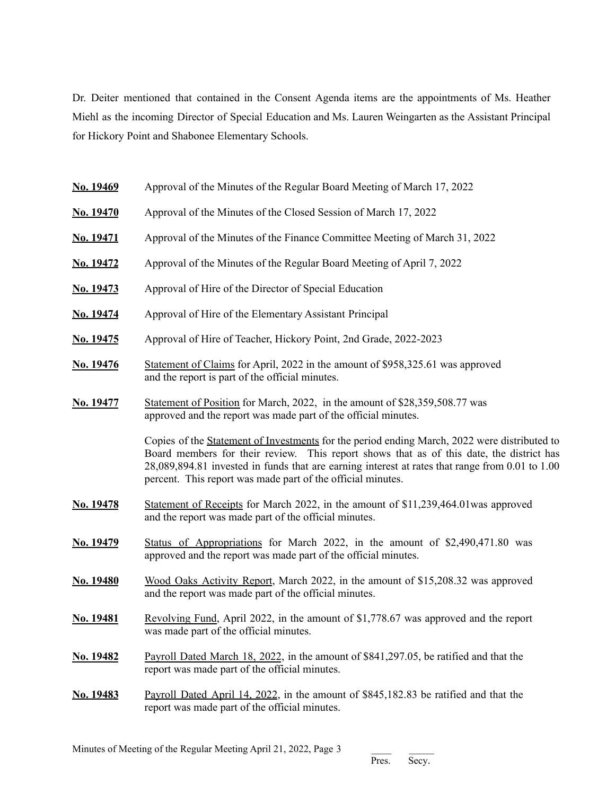Dr. Deiter mentioned that contained in the Consent Agenda items are the appointments of Ms. Heather Miehl as the incoming Director of Special Education and Ms. Lauren Weingarten as the Assistant Principal for Hickory Point and Shabonee Elementary Schools.

| No. 19469        | Approval of the Minutes of the Regular Board Meeting of March 17, 2022                                                                                                                                                                                                                                                                                     |
|------------------|------------------------------------------------------------------------------------------------------------------------------------------------------------------------------------------------------------------------------------------------------------------------------------------------------------------------------------------------------------|
| No. 19470        | Approval of the Minutes of the Closed Session of March 17, 2022                                                                                                                                                                                                                                                                                            |
| <u>No. 19471</u> | Approval of the Minutes of the Finance Committee Meeting of March 31, 2022                                                                                                                                                                                                                                                                                 |
| <u>No. 19472</u> | Approval of the Minutes of the Regular Board Meeting of April 7, 2022                                                                                                                                                                                                                                                                                      |
| <b>No. 19473</b> | Approval of Hire of the Director of Special Education                                                                                                                                                                                                                                                                                                      |
| No. 19474        | Approval of Hire of the Elementary Assistant Principal                                                                                                                                                                                                                                                                                                     |
| <b>No. 19475</b> | Approval of Hire of Teacher, Hickory Point, 2nd Grade, 2022-2023                                                                                                                                                                                                                                                                                           |
| No. 19476        | Statement of Claims for April, 2022 in the amount of \$958,325.61 was approved<br>and the report is part of the official minutes.                                                                                                                                                                                                                          |
| <b>No. 19477</b> | Statement of Position for March, 2022, in the amount of \$28,359,508.77 was<br>approved and the report was made part of the official minutes.                                                                                                                                                                                                              |
|                  | Copies of the Statement of Investments for the period ending March, 2022 were distributed to<br>Board members for their review. This report shows that as of this date, the district has<br>28,089,894.81 invested in funds that are earning interest at rates that range from 0.01 to 1.00<br>percent. This report was made part of the official minutes. |
| <u>No. 19478</u> | Statement of Receipts for March 2022, in the amount of \$11,239,464.01 was approved<br>and the report was made part of the official minutes.                                                                                                                                                                                                               |
| No. 19479        | Status of Appropriations for March 2022, in the amount of \$2,490,471.80 was<br>approved and the report was made part of the official minutes.                                                                                                                                                                                                             |
| No. 19480        | Wood Oaks Activity Report, March 2022, in the amount of \$15,208.32 was approved<br>and the report was made part of the official minutes.                                                                                                                                                                                                                  |
| No. 19481        | Revolving Fund, April 2022, in the amount of \$1,778.67 was approved and the report<br>was made part of the official minutes.                                                                                                                                                                                                                              |
| No. 19482        | Payroll Dated March 18, 2022, in the amount of \$841,297.05, be ratified and that the<br>report was made part of the official minutes.                                                                                                                                                                                                                     |
| No. 19483        | Payroll Dated April 14, 2022, in the amount of \$845,182.83 be ratified and that the<br>report was made part of the official minutes.                                                                                                                                                                                                                      |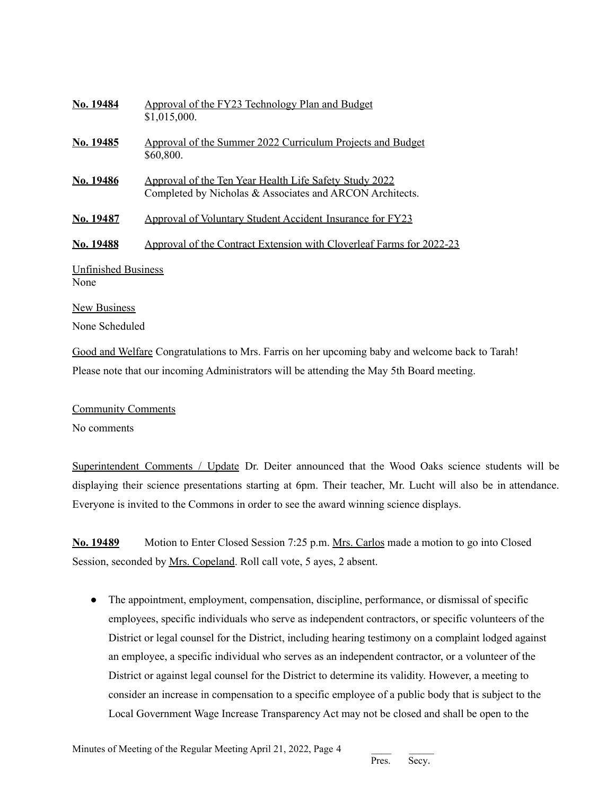| No. 19484                          | Approval of the FY23 Technology Plan and Budget<br>\$1,015,000.                                                    |  |
|------------------------------------|--------------------------------------------------------------------------------------------------------------------|--|
| No. 19485                          | Approval of the Summer 2022 Curriculum Projects and Budget<br>\$60,800.                                            |  |
| No. 19486                          | Approval of the Ten Year Health Life Safety Study 2022<br>Completed by Nicholas & Associates and ARCON Architects. |  |
| No. 19487                          | <b>Approval of Voluntary Student Accident Insurance for FY23</b>                                                   |  |
| No. 19488                          | Approval of the Contract Extension with Cloverleaf Farms for 2022-23                                               |  |
| <b>Unfinished Business</b><br>None |                                                                                                                    |  |
| <b>New Business</b>                |                                                                                                                    |  |
| None Scheduled                     |                                                                                                                    |  |

Good and Welfare Congratulations to Mrs. Farris on her upcoming baby and welcome back to Tarah! Please note that our incoming Administrators will be attending the May 5th Board meeting.

Community Comments

No comments

Superintendent Comments / Update Dr. Deiter announced that the Wood Oaks science students will be displaying their science presentations starting at 6pm. Their teacher, Mr. Lucht will also be in attendance. Everyone is invited to the Commons in order to see the award winning science displays.

**No. 19489** Motion to Enter Closed Session 7:25 p.m. Mrs. Carlos made a motion to go into Closed Session, seconded by Mrs. Copeland. Roll call vote, 5 ayes, 2 absent.

• The appointment, employment, compensation, discipline, performance, or dismissal of specific employees, specific individuals who serve as independent contractors, or specific volunteers of the District or legal counsel for the District, including hearing testimony on a complaint lodged against an employee, a specific individual who serves as an independent contractor, or a volunteer of the District or against legal counsel for the District to determine its validity. However, a meeting to consider an increase in compensation to a specific employee of a public body that is subject to the Local Government Wage Increase Transparency Act may not be closed and shall be open to the